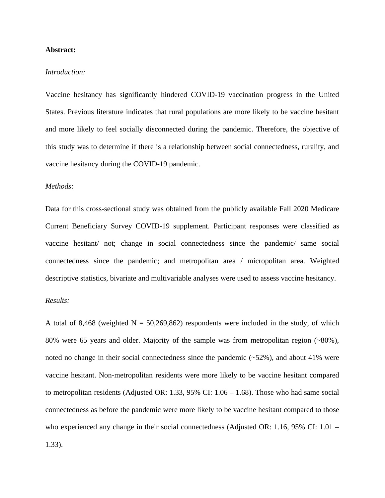### **Abstract:**

## *Introduction:*

Vaccine hesitancy has significantly hindered COVID-19 vaccination progress in the United States. Previous literature indicates that rural populations are more likely to be vaccine hesitant and more likely to feel socially disconnected during the pandemic. Therefore, the objective of this study was to determine if there is a relationship between social connectedness, rurality, and vaccine hesitancy during the COVID-19 pandemic.

## *Methods:*

Data for this cross-sectional study was obtained from the publicly available Fall 2020 Medicare Current Beneficiary Survey COVID-19 supplement. Participant responses were classified as vaccine hesitant/ not; change in social connectedness since the pandemic/ same social connectedness since the pandemic; and metropolitan area / micropolitan area. Weighted descriptive statistics, bivariate and multivariable analyses were used to assess vaccine hesitancy.

#### *Results:*

A total of 8,468 (weighted  $N = 50,269,862$ ) respondents were included in the study, of which 80% were 65 years and older. Majority of the sample was from metropolitan region  $(\sim 80\%)$ , noted no change in their social connectedness since the pandemic (~52%), and about 41% were vaccine hesitant. Non-metropolitan residents were more likely to be vaccine hesitant compared to metropolitan residents (Adjusted OR: 1.33, 95% CI: 1.06 – 1.68). Those who had same social connectedness as before the pandemic were more likely to be vaccine hesitant compared to those who experienced any change in their social connectedness (Adjusted OR: 1.16, 95% CI: 1.01 – 1.33).